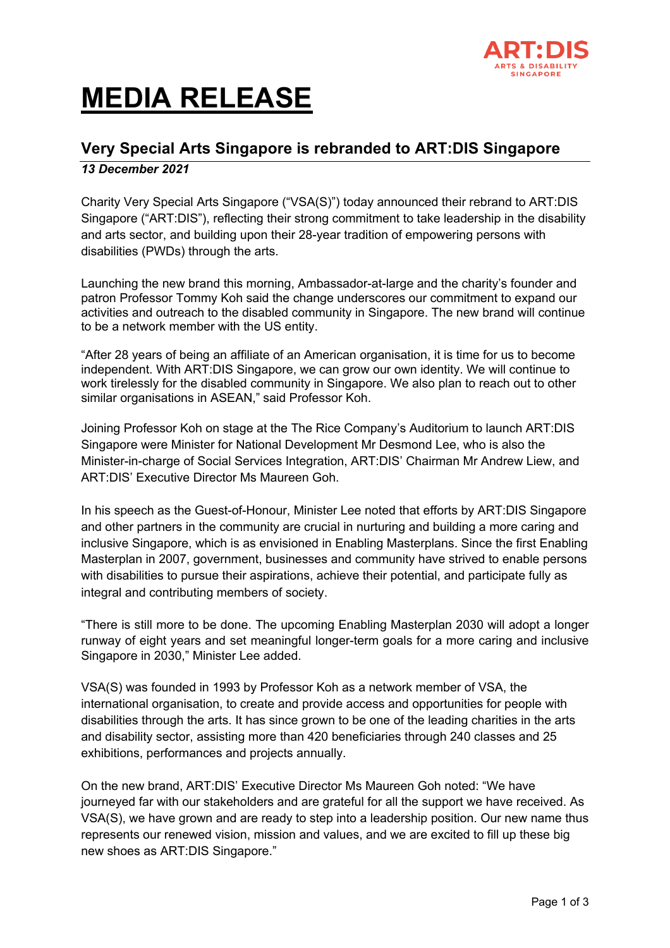

## **MEDIA RELEASE**

## **Very Special Arts Singapore is rebranded to ART:DIS Singapore**

## *13 December 2021*

Charity Very Special Arts Singapore ("VSA(S)") today announced their rebrand to ART:DIS Singapore ("ART:DIS"), reflecting their strong commitment to take leadership in the disability and arts sector, and building upon their 28-year tradition of empowering persons with disabilities (PWDs) through the arts.

Launching the new brand this morning, Ambassador-at-large and the charity's founder and patron Professor Tommy Koh said the change underscores our commitment to expand our activities and outreach to the disabled community in Singapore. The new brand will continue to be a network member with the US entity.

"After 28 years of being an affiliate of an American organisation, it is time for us to become independent. With ART:DIS Singapore, we can grow our own identity. We will continue to work tirelessly for the disabled community in Singapore. We also plan to reach out to other similar organisations in ASEAN," said Professor Koh.

Joining Professor Koh on stage at the The Rice Company's Auditorium to launch ART:DIS Singapore were Minister for National Development Mr Desmond Lee, who is also the Minister-in-charge of Social Services Integration, ART:DIS' Chairman Mr Andrew Liew, and ART:DIS' Executive Director Ms Maureen Goh.

In his speech as the Guest-of-Honour, Minister Lee noted that efforts by ART:DIS Singapore and other partners in the community are crucial in nurturing and building a more caring and inclusive Singapore, which is as envisioned in Enabling Masterplans. Since the first Enabling Masterplan in 2007, government, businesses and community have strived to enable persons with disabilities to pursue their aspirations, achieve their potential, and participate fully as integral and contributing members of society.

"There is still more to be done. The upcoming Enabling Masterplan 2030 will adopt a longer runway of eight years and set meaningful longer-term goals for a more caring and inclusive Singapore in 2030," Minister Lee added.

VSA(S) was founded in 1993 by Professor Koh as a network member of VSA, the international organisation, to create and provide access and opportunities for people with disabilities through the arts. It has since grown to be one of the leading charities in the arts and disability sector, assisting more than 420 beneficiaries through 240 classes and 25 exhibitions, performances and projects annually.

On the new brand, ART:DIS' Executive Director Ms Maureen Goh noted: "We have journeyed far with our stakeholders and are grateful for all the support we have received. As VSA(S), we have grown and are ready to step into a leadership position. Our new name thus represents our renewed vision, mission and values, and we are excited to fill up these big new shoes as ART:DIS Singapore."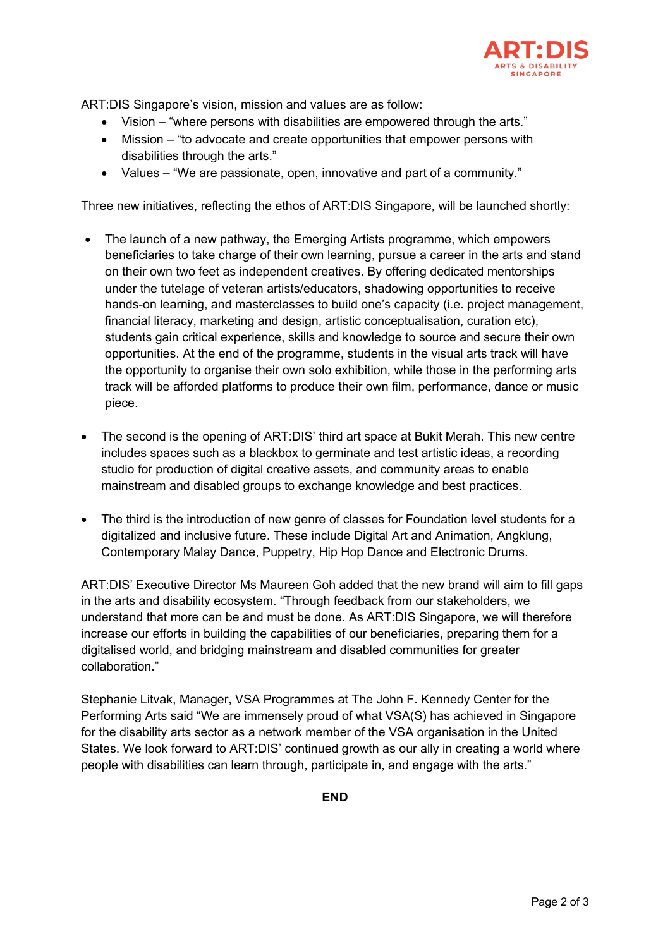

ART:DIS Singapore's vision, mission and values are as follow:

- Vision "where persons with disabilities are empowered through the arts."
- Mission "to advocate and create opportunities that empower persons with disabilities through the arts."
- Values "We are passionate, open, innovative and part of a community."

Three new initiatives, reflecting the ethos of ART:DIS Singapore, will be launched shortly:

- The launch of a new pathway, the Emerging Artists programme, which empowers beneficiaries to take charge of their own learning, pursue a career in the arts and stand on their own two feet as independent creatives. By offering dedicated mentorships under the tutelage of veteran artists/educators, shadowing opportunities to receive hands-on learning, and masterclasses to build one's capacity (i.e. project management, financial literacy, marketing and design, artistic conceptualisation, curation etc), students gain critical experience, skills and knowledge to source and secure their own opportunities. At the end of the programme, students in the visual arts track will have the opportunity to organise their own solo exhibition, while those in the performing arts track will be afforded platforms to produce their own film, performance, dance or music piece.
- The second is the opening of ART:DIS' third art space at Bukit Merah. This new centre includes spaces such as a blackbox to germinate and test artistic ideas, a recording studio for production of digital creative assets, and community areas to enable mainstream and disabled groups to exchange knowledge and best practices.
- The third is the introduction of new genre of classes for Foundation level students for a digitalized and inclusive future. These include Digital Art and Animation, Angklung, Contemporary Malay Dance, Puppetry, Hip Hop Dance and Electronic Drums.

ART:DIS' Executive Director Ms Maureen Goh added that the new brand will aim to fill gaps in the arts and disability ecosystem. "Through feedback from our stakeholders, we understand that more can be and must be done. As ART:DIS Singapore, we will therefore increase our efforts in building the capabilities of our beneficiaries, preparing them for a digitalised world, and bridging mainstream and disabled communities for greater collaboration."

Stephanie Litvak, Manager, VSA Programmes at The John F. Kennedy Center for the Performing Arts said "We are immensely proud of what VSA(S) has achieved in Singapore for the disability arts sector as a network member of the VSA organisation in the United States. We look forward to ART:DIS' continued growth as our ally in creating a world where people with disabilities can learn through, participate in, and engage with the arts."

**END**